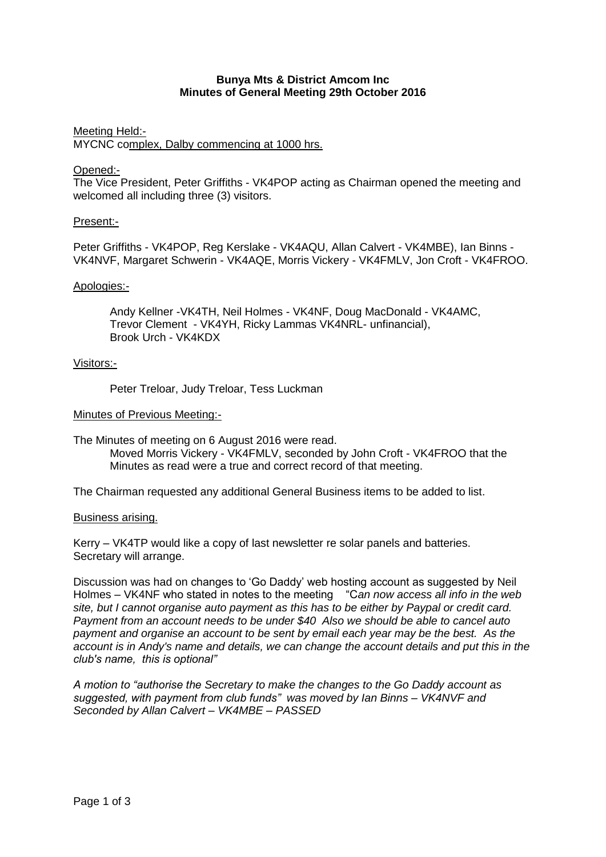#### **Bunya Mts & District Amcom Inc Minutes of General Meeting 29th October 2016**

# Meeting Held:- MYCNC complex, Dalby commencing at 1000 hrs.

# Opened:-

The Vice President, Peter Griffiths - VK4POP acting as Chairman opened the meeting and welcomed all including three (3) visitors.

# Present:-

Peter Griffiths - VK4POP, Reg Kerslake - VK4AQU, Allan Calvert - VK4MBE), Ian Binns - VK4NVF, Margaret Schwerin - VK4AQE, Morris Vickery - VK4FMLV, Jon Croft - VK4FROO.

# Apologies:-

Andy Kellner -VK4TH, Neil Holmes - VK4NF, Doug MacDonald - VK4AMC, Trevor Clement - VK4YH, Ricky Lammas VK4NRL- unfinancial), Brook Urch - VK4KDX

# Visitors:-

Peter Treloar, Judy Treloar, Tess Luckman

# Minutes of Previous Meeting:-

The Minutes of meeting on 6 August 2016 were read. Moved Morris Vickery - VK4FMLV, seconded by John Croft - VK4FROO that the

Minutes as read were a true and correct record of that meeting.

The Chairman requested any additional General Business items to be added to list.

#### Business arising.

Kerry – VK4TP would like a copy of last newsletter re solar panels and batteries. Secretary will arrange.

Discussion was had on changes to 'Go Daddy' web hosting account as suggested by Neil Holmes – VK4NF who stated in notes to the meeting "C*an now access all info in the web site, but I cannot organise auto payment as this has to be either by Paypal or credit card. Payment from an account needs to be under \$40 Also we should be able to cancel auto payment and organise an account to be sent by email each year may be the best. As the account is in Andy's name and details, we can change the account details and put this in the club's name, this is optional"*

*A motion to "authorise the Secretary to make the changes to the Go Daddy account as suggested, with payment from club funds" was moved by Ian Binns – VK4NVF and Seconded by Allan Calvert – VK4MBE – PASSED*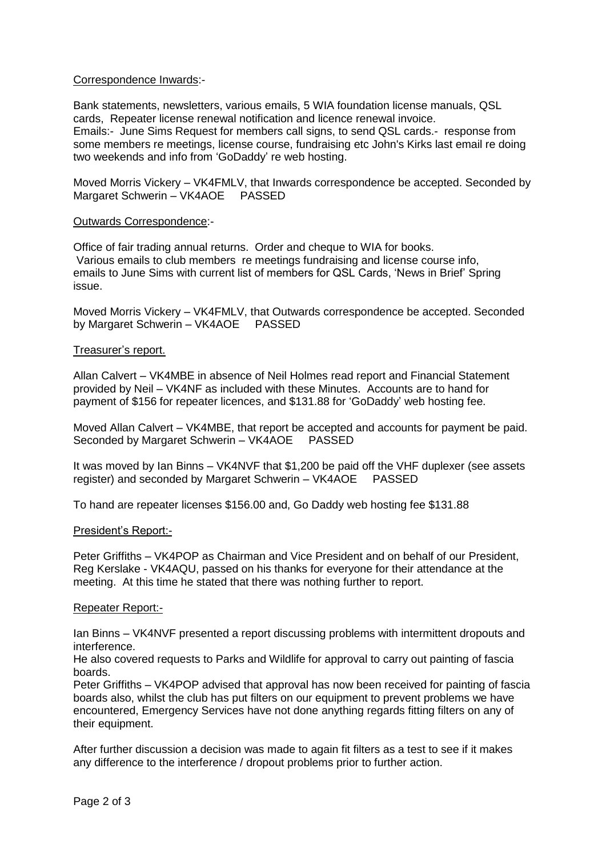# Correspondence Inwards:-

Bank statements, newsletters, various emails, 5 WIA foundation license manuals, QSL cards, Repeater license renewal notification and licence renewal invoice. Emails:- June Sims Request for members call signs, to send QSL cards.- response from some members re meetings, license course, fundraising etc John's Kirks last email re doing two weekends and info from 'GoDaddy' re web hosting.

Moved Morris Vickery – VK4FMLV, that Inwards correspondence be accepted. Seconded by Margaret Schwerin – VK4AOE PASSED

#### Outwards Correspondence:-

Office of fair trading annual returns. Order and cheque to WIA for books. Various emails to club members re meetings fundraising and license course info, emails to June Sims with current list of members for QSL Cards, 'News in Brief' Spring issue.

Moved Morris Vickery – VK4FMLV, that Outwards correspondence be accepted. Seconded by Margaret Schwerin – VK4AOE PASSED

#### Treasurer's report.

Allan Calvert – VK4MBE in absence of Neil Holmes read report and Financial Statement provided by Neil – VK4NF as included with these Minutes. Accounts are to hand for payment of \$156 for repeater licences, and \$131.88 for 'GoDaddy' web hosting fee.

Moved Allan Calvert – VK4MBE, that report be accepted and accounts for payment be paid. Seconded by Margaret Schwerin – VK4AOE PASSED

It was moved by Ian Binns – VK4NVF that \$1,200 be paid off the VHF duplexer (see assets register) and seconded by Margaret Schwerin – VK4AOE PASSED

To hand are repeater licenses \$156.00 and, Go Daddy web hosting fee \$131.88

#### President's Report:-

Peter Griffiths – VK4POP as Chairman and Vice President and on behalf of our President, Reg Kerslake - VK4AQU, passed on his thanks for everyone for their attendance at the meeting. At this time he stated that there was nothing further to report.

#### Repeater Report:-

Ian Binns – VK4NVF presented a report discussing problems with intermittent dropouts and interference.

He also covered requests to Parks and Wildlife for approval to carry out painting of fascia boards.

Peter Griffiths – VK4POP advised that approval has now been received for painting of fascia boards also, whilst the club has put filters on our equipment to prevent problems we have encountered, Emergency Services have not done anything regards fitting filters on any of their equipment.

After further discussion a decision was made to again fit filters as a test to see if it makes any difference to the interference / dropout problems prior to further action.